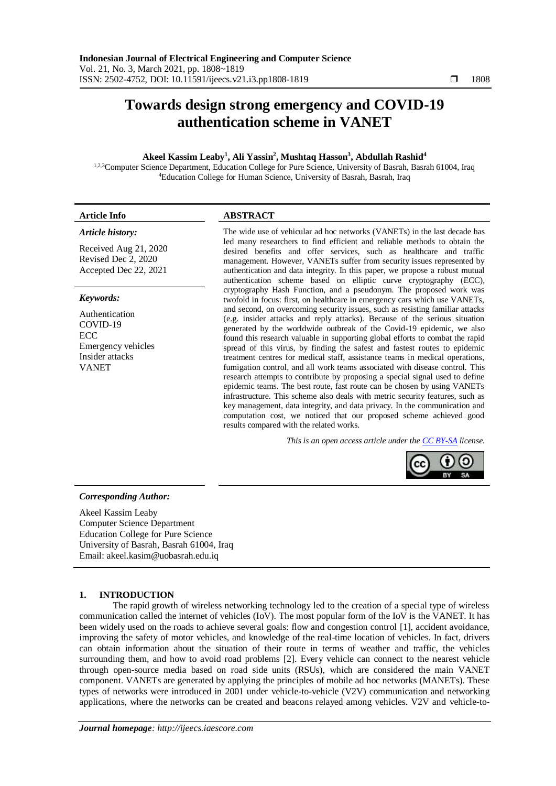# **Towards design strong emergency and COVID-19 authentication scheme in VANET**

## **Akeel Kassim Leaby<sup>1</sup> , Ali Yassin<sup>2</sup> , Mushtaq Hasson<sup>3</sup> , Abdullah Rashid<sup>4</sup>**

1,2,3Computer Science Department, Education College for Pure Science, University of Basrah, Basrah 61004, Iraq <sup>4</sup>Education College for Human Science, University of Basrah, Basrah, Iraq

# **Article Info ABSTRACT** *Article history:*

Received Aug 21, 2020 Revised Dec 2, 2020 Accepted Dec 22, 2021

## *Keywords:*

Authentication COVID-19 ECC Emergency vehicles Insider attacks VANET

The wide use of vehicular ad hoc networks (VANETs) in the last decade has led many researchers to find efficient and reliable methods to obtain the desired benefits and offer services, such as healthcare and traffic management. However, VANETs suffer from security issues represented by authentication and data integrity. In this paper, we propose a robust mutual authentication scheme based on elliptic curve cryptography (ECC), cryptography Hash Function, and a pseudonym. The proposed work was twofold in focus: first, on healthcare in emergency cars which use VANETs, and second, on overcoming security issues, such as resisting familiar attacks (e.g. insider attacks and reply attacks). Because of the serious situation generated by the worldwide outbreak of the Covid-19 epidemic, we also found this research valuable in supporting global efforts to combat the rapid spread of this virus, by finding the safest and fastest routes to epidemic treatment centres for medical staff, assistance teams in medical operations, fumigation control, and all work teams associated with disease control. This research attempts to contribute by proposing a special signal used to define epidemic teams. The best route, fast route can be chosen by using VANETs infrastructure. This scheme also deals with metric security features, such as key management, data integrity, and data privacy. In the communication and computation cost, we noticed that our proposed scheme achieved good results compared with the related works.

*This is an open access article under the [CC BY-SA](https://creativecommons.org/licenses/by-sa/4.0/) license.*



## *Corresponding Author:*

Akeel Kassim Leaby Computer Science Department Education College for Pure Science University of Basrah, Basrah 61004, Iraq Email: [akeel.kasim@uobasrah.edu.iq](mailto:akeel.kasim@uobasrah.edu.iq)

## **1. INTRODUCTION**

The rapid growth of wireless networking technology led to the creation of a special type of wireless communication called the internet of vehicles (IoV). The most popular form of the IoV is the VANET. It has been widely used on the roads to achieve several goals: flow and congestion control [\[1\]](#page-10-0), accident avoidance, improving the safety of motor vehicles, and knowledge of the real-time location of vehicles. In fact, drivers can obtain information about the situation of their route in terms of weather and traffic, the vehicles surrounding them, and how to avoid road problems [\[2\]](#page-10-1). Every vehicle can connect to the nearest vehicle through open-source media based on road side units (RSUs), which are considered the main VANET component. VANETs are generated by applying the principles of mobile ad hoc networks (MANETs). These types of networks were introduced in 2001 under vehicle-to-vehicle (V2V) communication and networking applications, where the networks can be created and beacons relayed among vehicles. V2V and vehicle-to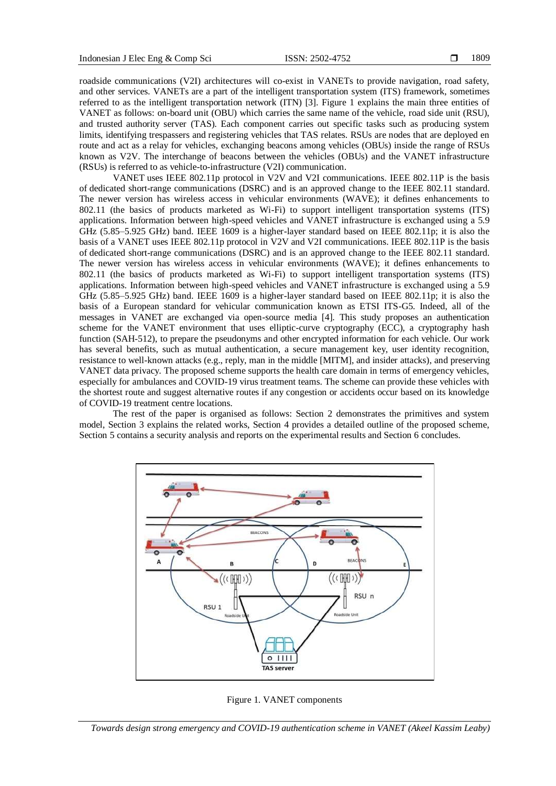roadside communications (V2I) architectures will co-exist in VANETs to provide navigation, road safety, and other services. VANETs are a part of the intelligent transportation system (ITS) framework, sometimes referred to as the intelligent transportation network (ITN) [\[3\]](#page-10-2). Figure 1 explains the main three entities of VANET as follows: on-board unit (OBU) which carries the same name of the vehicle, road side unit (RSU), and trusted authority server (TAS). Each component carries out specific tasks such as producing system limits, identifying trespassers and registering vehicles that TAS relates. RSUs are nodes that are deployed en route and act as a relay for vehicles, exchanging beacons among vehicles (OBUs) inside the range of RSUs known as V2V. The interchange of beacons between the vehicles (OBUs) and the VANET infrastructure (RSUs) is referred to as vehicle-to-infrastructure (V2I) communication.

VANET uses IEEE 802.11p protocol in V2V and V2I communications. IEEE 802.11P is the basis of [dedicated short-range communications](https://en.wikipedia.org/wiki/Dedicated_short-range_communications) (DSRC) and is an approved change to the IEEE 802.11 standard. The newer version has wireless access in vehicular environments (WAVE); it defines enhancements to 802.11 (the basics of products marketed as Wi-Fi) to support intelligent transportation systems (ITS) applications. Information between high-speed vehicles and VANET infrastructure is exchanged using a 5.9 GHz (5.85–5.925 GHz) band. IEEE 1609 is a higher-layer standard based on IEEE 802.11p; it is also the basis of a VANET uses IEEE 802.11p protocol in V2V and V2I communications. IEEE 802.11P is the basis of [dedicated short-range communications](https://en.wikipedia.org/wiki/Dedicated_short-range_communications) (DSRC) and is an approved change to the IEEE 802.11 standard. The newer version has wireless access in vehicular environments (WAVE); it defines enhancements to 802.11 (the basics of products marketed as Wi-Fi) to support intelligent transportation systems (ITS) applications. Information between high-speed vehicles and VANET infrastructure is exchanged using a 5.9 GHz (5.85–5.925 GHz) band. IEEE 1609 is a higher-layer standard based on IEEE 802.11p; it is also the basis of a European standard for vehicular communication known as ETSI ITS-G5. Indeed, all of the messages in VANET are exchanged via open-source media [\[4\]](#page-10-3). This study proposes an authentication scheme for the VANET environment that uses elliptic-curve cryptography (ECC), a cryptography hash function (SAH-512), to prepare the pseudonyms and other encrypted information for each vehicle. Our work has several benefits, such as mutual authentication, a secure management key, user identity recognition, resistance to well-known attacks (e.g., reply, man in the middle [MITM], and insider attacks), and preserving VANET data privacy. The proposed scheme supports the health care domain in terms of emergency vehicles, especially for ambulances and COVID-19 virus treatment teams. The scheme can provide these vehicles with the shortest route and suggest alternative routes if any congestion or accidents occur based on its knowledge of COVID-19 treatment centre locations.

The rest of the paper is organised as follows: Section 2 demonstrates the primitives and system model, Section 3 explains the related works, Section 4 provides a detailed outline of the proposed scheme, Section 5 contains a security analysis and reports on the experimental results and Section 6 concludes.



Figure 1. VANET components

*Towards design strong emergency and COVID-19 authentication scheme in VANET (Akeel Kassim Leaby)*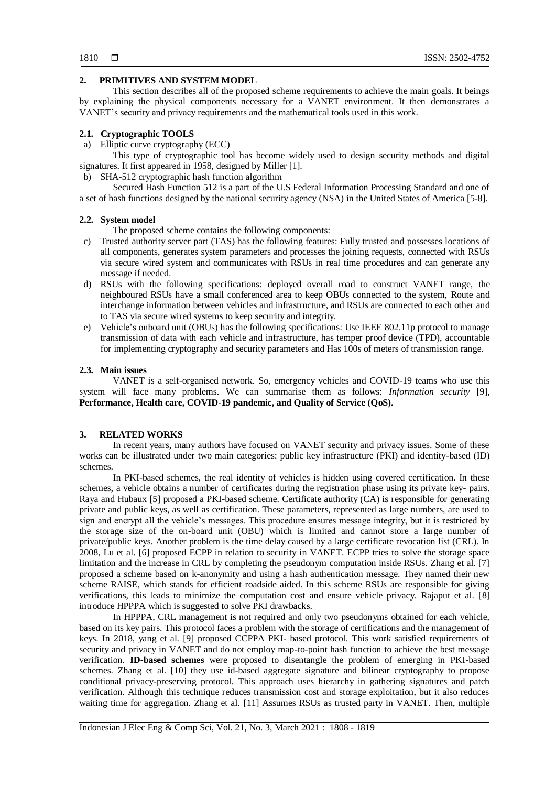# **2. PRIMITIVES AND SYSTEM MODEL**

This section describes all of the proposed scheme requirements to achieve the main goals. It beings by explaining the physical components necessary for a VANET environment. It then demonstrates a VANET's security and privacy requirements and the mathematical tools used in this work.

# **2.1. Cryptographic TOOLS**

a) Elliptic curve cryptography (ECC)

This type of cryptographic tool has become widely used to design security methods and digital signatures. It first appeared in 1958, designed by Miller [1].

b) SHA-512 cryptographic hash function algorithm

Secured Hash Function 512 is a part of the U.S Federal Information Processing Standard and one of a set of hash functions designed by the national security agency (NSA) in the United States of America [\[5-8\]](#page-10-4).

## **2.2. System model**

The proposed scheme contains the following components:

- c) Trusted authority server part (TAS) has the following features: Fully trusted and possesses locations of all components, generates system parameters and processes the joining requests, connected with RSUs via secure wired system and communicates with RSUs in real time procedures and can generate any message if needed.
- d) RSUs with the following specifications: deployed overall road to construct VANET range, the neighboured RSUs have a small conferenced area to keep OBUs connected to the system, Route and interchange information between vehicles and infrastructure, and RSUs are connected to each other and to TAS via secure wired systems to keep security and integrity.
- e) Vehicle's onboard unit (OBUs) has the following specifications: Use IEEE 802.11p protocol to manage transmission of data with each vehicle and infrastructure, has temper proof device (TPD), accountable for implementing cryptography and security parameters and Has 100s of meters of transmission range.

## **2.3. Main issues**

VANET is a self-organised network. So, emergency vehicles and COVID-19 teams who use this system will face many problems. We can summarise them as follows: *Information security* [\[9\]](#page-10-5), **Performance, Health care, COVID-19 pandemic, and Quality of Service (QoS).**

## **3. RELATED WORKS**

In recent years, many authors have focused on VANET security and privacy issues. Some of these works can be illustrated under two main categories: public key infrastructure (PKI) and identity-based (ID) schemes.

In PKI-based schemes, the real identity of vehicles is hidden using covered certification. In these schemes, a vehicle obtains a number of certificates during the registration phase using its private key- pairs. Raya and Hubaux [5] proposed a PKI-based scheme. Certificate authority (CA) is responsible for generating private and public keys, as well as certification. These parameters, represented as large numbers, are used to sign and encrypt all the vehicle's messages. This procedure ensures message integrity, but it is restricted by the storage size of the on-board unit (OBU) which is limited and cannot store a large number of private/public keys. Another problem is the time delay caused by a large certificate revocation list (CRL). In 2008, Lu et al. [6] proposed ECPP in relation to security in VANET. ECPP tries to solve the storage space limitation and the increase in CRL by completing the pseudonym computation inside RSUs. Zhang et al. [7] proposed a scheme based on k-anonymity and using a hash authentication message. They named their new scheme RAISE, which stands for efficient roadside aided. In this scheme RSUs are responsible for giving verifications, this leads to minimize the computation cost and ensure vehicle privacy. Rajaput et al. [8] introduce HPPPA which is suggested to solve PKI drawbacks.

In HPPPA, CRL management is not required and only two pseudonyms obtained for each vehicle, based on its key pairs. This protocol faces a problem with the storage of certifications and the management of keys. In 2018, yang et al. [9] proposed CCPPA PKI- based protocol. This work satisfied requirements of security and privacy in VANET and do not employ map-to-point hash function to achieve the best message verification. **ID-based schemes** were proposed to disentangle the problem of emerging in PKI-based schemes. Zhang et al. [10] they use id-based aggregate signature and bilinear cryptography to propose conditional privacy-preserving protocol. This approach uses hierarchy in gathering signatures and patch verification. Although this technique reduces transmission cost and storage exploitation, but it also reduces waiting time for aggregation. Zhang et al. [11] Assumes RSUs as trusted party in VANET. Then, multiple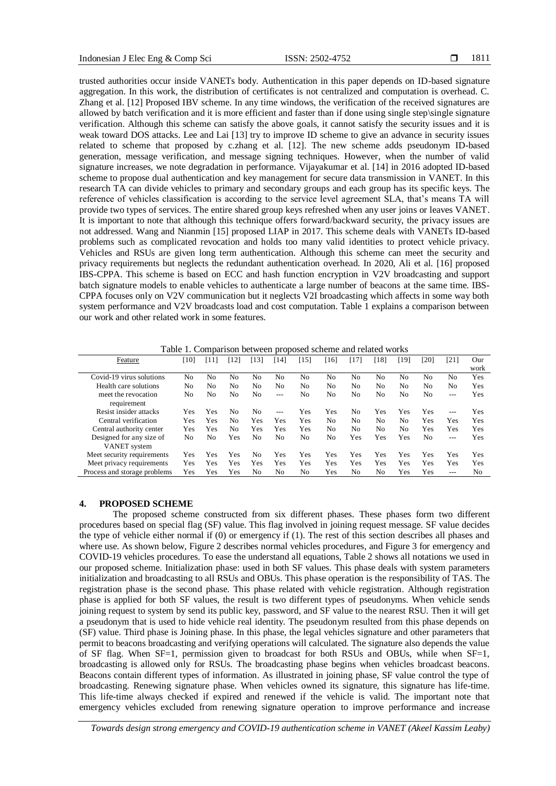trusted authorities occur inside VANETs body. Authentication in this paper depends on ID-based signature aggregation. In this work, the distribution of certificates is not centralized and computation is overhead. C. Zhang et al. [12] Proposed IBV scheme. In any time windows, the verification of the received signatures are allowed by batch verification and it is more efficient and faster than if done using single step\single signature verification. Although this scheme can satisfy the above goals, it cannot satisfy the security issues and it is weak toward DOS attacks. Lee and Lai [13] try to improve ID scheme to give an advance in security issues related to scheme that proposed by c.zhang et al. [12]. The new scheme adds pseudonym ID-based generation, message verification, and message signing techniques. However, when the number of valid signature increases, we note degradation in performance. Vijayakumar et al. [14] in 2016 adopted ID-based scheme to propose dual authentication and key management for secure data transmission in VANET. In this research TA can divide vehicles to primary and secondary groups and each group has its specific keys. The reference of vehicles classification is according to the service level agreement SLA, that's means TA will provide two types of services. The entire shared group keys refreshed when any user joins or leaves VANET. It is important to note that although this technique offers forward/backward security, the privacy issues are not addressed. Wang and Nianmin [15] proposed LIAP in 2017. This scheme deals with VANETs ID-based problems such as complicated revocation and holds too many valid identities to protect vehicle privacy. Vehicles and RSUs are given long term authentication. Although this scheme can meet the security and privacy requirements but neglects the redundant authentication overhead. In 2020, Ali et al. [16] proposed IBS-CPPA. This scheme is based on ECC and hash function encryption in V2V broadcasting and support batch signature models to enable vehicles to authenticate a large number of beacons at the same time. IBS-CPPA focuses only on V2V communication but it neglects V2I broadcasting which affects in some way both system performance and V2V broadcasts load and cost computation. Table 1 explains a comparison between our work and other related work in some features.

Table 1. Comparison between proposed scheme and related works

| Feature                            | [10]           | T 11           | [12]           | [13] | $ 14\rangle$ | [15] | [16] | [17]           | '181           | [19] | [20] | [21]    | Our            |
|------------------------------------|----------------|----------------|----------------|------|--------------|------|------|----------------|----------------|------|------|---------|----------------|
|                                    |                |                |                |      |              |      |      |                |                |      |      |         | work           |
| Covid-19 virus solutions           | N <sub>0</sub> | No             | No             | No   | No           | No   | No   | No             | No             | No   | No   | No      | Yes            |
| Health care solutions              | No             | N <sub>0</sub> | N <sub>0</sub> | No   | No           | No   | No   | N <sub>0</sub> | No             | No   | No   | No      | Yes            |
| meet the revocation<br>requirement | No             | No             | No             | No   | $- - -$      | No   | No   | No             | No             | No   | No   | $- - -$ | Yes            |
| Resist insider attacks             | Yes            | Yes            | No             | No   | $---$        | Yes  | Yes  | No             | Yes            | Yes  | Yes  | $---$   | Yes            |
| Central verification               | Yes            | Yes            | No             | Yes  | Yes          | Yes  | No   | N <sub>0</sub> | N <sub>0</sub> | No   | Yes  | Yes     | Yes            |
| Central authority center           | Yes            | Yes            | No             | Yes  | Yes          | Yes  | No   | N <sub>0</sub> | No             | No   | Yes  | Yes     | Yes            |
| Designed for any size of           | No             | No             | Yes            | No   | No           | No   | No   | Yes            | Yes            | Yes  | No   | $---$   | Yes            |
| VANET system                       |                |                |                |      |              |      |      |                |                |      |      |         |                |
| Meet security requirements         | Yes            | Yes            | Yes            | No   | Yes          | Yes  | Yes  | Yes            | Yes            | Yes  | Yes  | Yes     | Yes            |
| Meet privacy requirements          | Yes            | Yes            | Yes            | Yes  | Yes          | Yes  | Yes  | Yes            | Yes            | Yes  | Yes  | Yes     | Yes            |
| Process and storage problems       | Yes            | Yes            | Yes            | No   | No           | No   | Yes  | No             | N <sub>0</sub> | Yes  | Yes  | $---$   | N <sub>0</sub> |

## **4. PROPOSED SCHEME**

The proposed scheme constructed from six different phases. These phases form two different procedures based on special flag (SF) value. This flag involved in joining request message. SF value decides the type of vehicle either normal if (0) or emergency if (1). The rest of this section describes all phases and where use. As shown below, Figure 2 describes normal vehicles procedures, and Figure 3 for emergency and COVID-19 vehicles procedures. To ease the understand all equations, Table 2 shows all notations we used in our proposed scheme. Initialization phase: used in both SF values. This phase deals with system parameters initialization and broadcasting to all RSUs and OBUs. This phase operation is the responsibility of TAS. The registration phase is the second phase. This phase related with vehicle registration. Although registration phase is applied for both SF values, the result is two different types of pseudonyms. When vehicle sends joining request to system by send its public key, password, and SF value to the nearest RSU. Then it will get a pseudonym that is used to hide vehicle real identity. The pseudonym resulted from this phase depends on (SF) value. Third phase is Joining phase. In this phase, the legal vehicles signature and other parameters that permit to beacons broadcasting and verifying operations will calculated. The signature also depends the value of SF flag. When SF=1, permission given to broadcast for both RSUs and OBUs, while when SF=1, broadcasting is allowed only for RSUs. The broadcasting phase begins when vehicles broadcast beacons. Beacons contain different types of information. As illustrated in joining phase, SF value control the type of broadcasting. Renewing signature phase. When vehicles owned its signature, this signature has life-time. This life-time always checked if expired and renewed if the vehicle is valid. The important note that emergency vehicles excluded from renewing signature operation to improve performance and increase

*Towards design strong emergency and COVID-19 authentication scheme in VANET (Akeel Kassim Leaby)*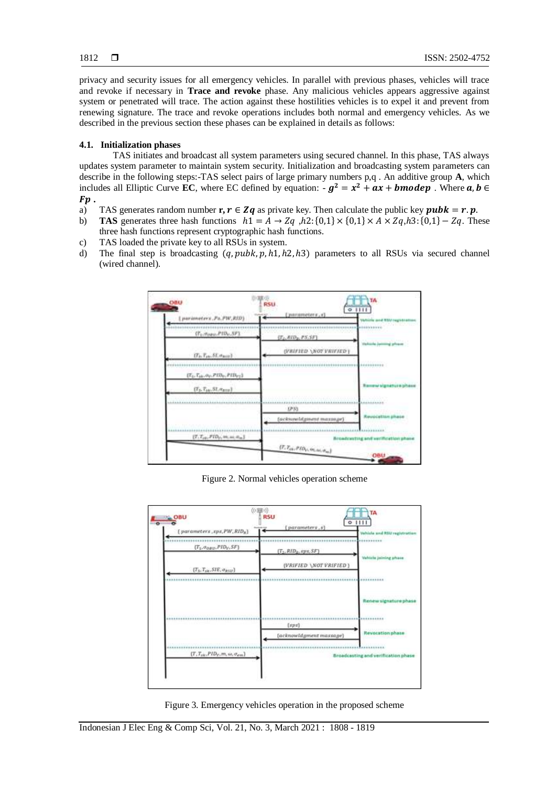privacy and security issues for all emergency vehicles. In parallel with previous phases, vehicles will trace and revoke if necessary in **Trace and revoke** phase. Any malicious vehicles appears aggressive against system or penetrated will trace. The action against these hostilities vehicles is to expel it and prevent from renewing signature. The trace and revoke operations includes both normal and emergency vehicles. As we described in the previous section these phases can be explained in details as follows:

# **4.1. Initialization phases**

TAS initiates and broadcast all system parameters using secured channel. In this phase, TAS always updates system parameter to maintain system security. Initialization and broadcasting system parameters can describe in the following steps:-TAS select pairs of large primary numbers p,q . An additive group **A**, which includes all Elliptic Curve EC, where EC defined by equation:  $-g^2 = x^2 + ax + b$  mode p. Where a, b  $\in$  $F\mathbf{p}$ .

- a) TAS generates random number  $\mathbf{r}, \mathbf{r} \in \mathbf{Zq}$  as private key. Then calculate the public key  $\mathbf{pubk} = \mathbf{r} \cdot \mathbf{p}$ .
- b) **TAS** generates three hash functions  $h1 = A \rightarrow Zq$ ,  $h2$ :  $\{0,1\} \times \{0,1\} \times \{0,1\} \times \{0,1\} Zq$ . These three hash functions represent cryptographic hash functions.
- c) TAS loaded the private key to all RSUs in system.
- d) The final step is broadcasting  $(q, puhk, p, h1, h2, h3)$  parameters to all RSUs via secured channel (wired channel).



Figure 2. Normal vehicles operation scheme



Figure 3. Emergency vehicles operation in the proposed scheme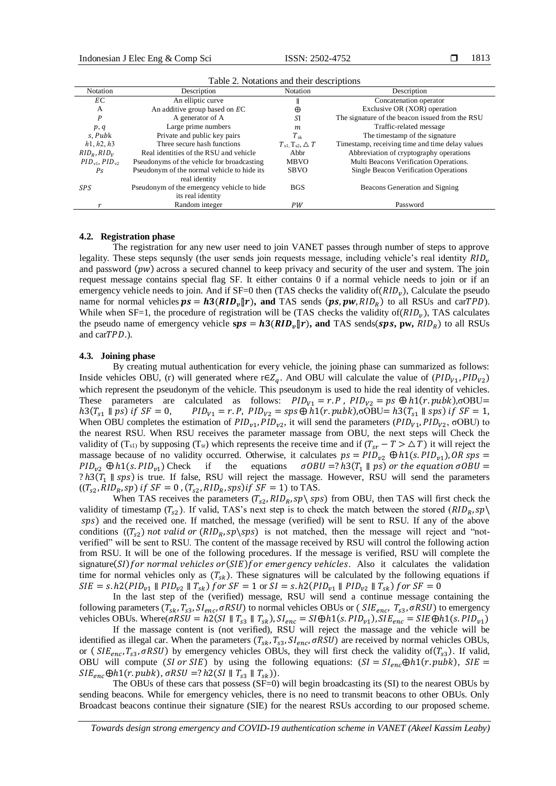| Notation                | Description                                 | Notation                            | Description                                     |
|-------------------------|---------------------------------------------|-------------------------------------|-------------------------------------------------|
| ЕC                      | An elliptic curve                           |                                     | Concatenation operator                          |
| A                       | An additive group based on EC               | $\oplus$                            | Exclusive OR (XOR) operation                    |
| $\boldsymbol{P}$        | A generator of A                            | SI                                  | The signature of the beacon issued from the RSU |
| p, q                    | Large prime numbers                         | m.                                  | Traffic-related message                         |
| s. Pubk                 | Private and public key pairs                | $T_{\rm sk}$                        | The timestamp of the signature                  |
| h1, h2, h3              | Three secure hash functions                 | $T_{s1}$ , $T_{s2}$ , $\triangle T$ | Timestamp, receiving time and time delay values |
| $RID_{R}$ , $RID_{V}$   | Real identities of the RSU and vehicle      | Abbr                                | Abbreviation of cryptography operations         |
| $PID_{v1}$ , $PID_{v2}$ | Pseudonyms of the vehicle for broadcasting  | <b>MBVO</b>                         | Multi Beacons Verification Operations.          |
| Ps                      | Pseudonym of the normal vehicle to hide its | <b>SBVO</b>                         | <b>Single Beacon Verification Operations</b>    |
|                         | real identity                               |                                     |                                                 |
| SPS                     | Pseudonym of the emergency vehicle to hide  | <b>BGS</b>                          | Beacons Generation and Signing                  |
|                         | its real identity                           |                                     |                                                 |
| $\mathbf{r}$            | Random integer                              | PW                                  | Password                                        |

Table 2. Notations and their descriptions

#### **4.2. Registration phase**

The registration for any new user need to join VANET passes through number of steps to approve legality. These steps sequnsly (the user sends join requests message, including vehicle's real identity  $RID<sub>v</sub>$ and password  $(pw)$  across a secured channel to keep privacy and security of the user and system. The join request message contains special flag SF. It either contains 0 if a normal vehicle needs to join or if an emergency vehicle needs to join. And if  $SF=0$  then (TAS checks the validity of  $(RID_v)$ , Calculate the pseudo name for normal vehicles  $ps = h3(RID_v||r)$ , and TAS sends  $(ps, pw, RID_R)$  to all RSUs and carTPD). While when  $SF=1$ , the procedure of registration will be (TAS checks the validity of  $(RID_v)$ ), TAS calculates the pseudo name of emergency vehicle  $sps = h3(RID<sub>v</sub>||r)$ , and TAS sends(sps, pw,  $RID<sub>R</sub>$ ) to all RSUs and carTPD.).

#### **4.3. Joining phase**

By creating mutual authentication for every vehicle, the joining phase can summarized as follows: Inside vehicles OBU, (r) will generated where r∈Z<sub>q</sub>. And OBU will calculate the value of ( $PID_{V1}$ ,  $PID_{V2}$ ) which represent the pseudonym of the vehicle. This pseudonym is used to hide the real identity of vehicles. These parameters are calculated as follows:  $PID_{v1} = r.P$ ,  $PID_{v2} = ps \bigoplus h1(r, pubk)$ , $\sigma$ OBU=  $h3(T_{s1} \parallel ps)$  if  $SF = 0$ ,  $PID_{V1} = r.P$ ,  $PID_{V2} = sys \oplus h1(r, pubk)$ ,  $o0BU = h3(T_{s1} \parallel sps)$  if  $SF = 1$ , When OBU completes the estimation of  $PID_{v1}$ ,  $PID_{v2}$ , it will send the parameters  $(PID_{V1}$ ,  $PID_{V2}$ ,  $\sigma OBU)$  to the nearest RSU. When RSU receives the parameter massage from OBU, the next steps will Check the validity of (T<sub>s1)</sub> by supposing (T<sub>sr</sub>) which represents the receive time and if ( $T_{sr} - T > \Delta T$ ) it will reject the massage because of no validity occurred. Otherwise, it calculates  $ps = PID_{v2} \oplus h1(s, PID_{v1})$ , OR sps =  $PID_{v2} \oplus h1(s. PID_{v1})$  Check if the equations  $\sigma OBU = ? h3(T_1 || ps)$  or the equation  $\sigma OBU =$ ?  $h3(T_1 \parallel sps)$  is true. If false, RSU will reject the massage. However, RSU will send the parameters  $((T_{s2}, RID_R, sp) \text{ if } SF = 0, (T_{s2}, RID_R, sps) \text{ if } SF = 1) \text{ to } TAS.$ 

When TAS receives the parameters  $(T_{s2}, RID_R, sp \$  from OBU, then TAS will first check the validity of timestamp  $(T_{s2})$ . If valid, TAS's next step is to check the match between the stored  $(RID_R, sp)$ ) and the received one. If matched, the message (verified) will be sent to RSU. If any of the above conditions  $((T_{s2})$  not valid or  $(RID_R, sp \sp)$  is not matched, then the message will reject and "notverified" will be sent to RSU. The content of the massage received by RSU will control the following action from RSU. It will be one of the following procedures. If the message is verified, RSU will complete the signature( $SI$ ) for normal vehicles or( $SIE$ ) for emergency vehicles. Also it calculates the validation time for normal vehicles only as  $(T_{sk})$ . These signatures will be calculated by the following equations if  $SIE = s.h2(PID_{v1} \parallel PID_{v2} \parallel T_{sk})$  for  $SF = 1$  or  $SI = s.h2(PID_{v1} \parallel PID_{v2} \parallel T_{sk})$  for  $SF = 0$ 

In the last step of the (verified) message, RSU will send a continue message containing the following parameters  $(T_{sk}, T_{ss}, SI_{enc}, \sigma RSU)$  to normal vehicles OBUs or ( $SIE_{enc}, T_{ss}, \sigma RSU)$  to emergency vehicles OBUs. Where( $\sigma RSU = h2(SI \parallel T_{ss} \parallel T_{sk})$ ,  $Sl_{enc} = SI \oplus h1(s, PID_{v1})$ ,  $SIE_{enc} = SIE \oplus h1(s, PID_{v1})$ 

If the massage content is (not verified), RSU will reject the massage and the vehicle will be identified as illegal car. When the parameters  $(T_{sk}, T_{ss}, SI_{enc}, \sigma RSU)$  are received by normal vehicles OBUs, or ( $SIE_{enc}, T_{s3}, \sigma RSU$ ) by emergency vehicles OBUs, they will first check the validity of( $T_{s3}$ ). If valid, OBU will compute (SI or SIE) by using the following equations:  $(SI = SI_{enc} \oplus h1(r, pubk)$ ,  $SIE =$  $SIE<sub>enc</sub> \bigoplus h1(r, pubk), \sigma RSU = ? h2(SI || T<sub>s3</sub> || T<sub>sk</sub>)).$ 

The OBUs of these cars that possess (SF=0) will begin broadcasting its (SI) to the nearest OBUs by sending beacons. While for emergency vehicles, there is no need to transmit beacons to other OBUs. Only Broadcast beacons continue their signature (SIE) for the nearest RSUs according to our proposed scheme.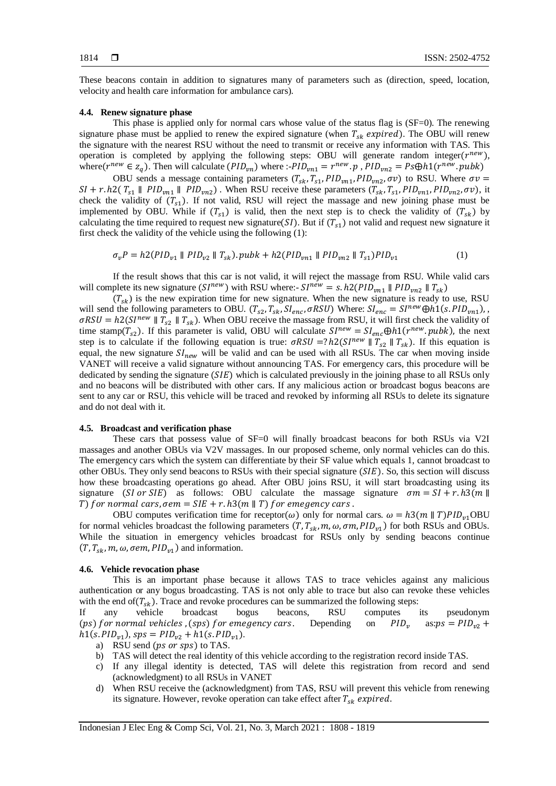These beacons contain in addition to signatures many of parameters such as (direction, speed, location, velocity and health care information for ambulance cars).

### **4.4. Renew signature phase**

This phase is applied only for normal cars whose value of the status flag is (SF=0). The renewing signature phase must be applied to renew the expired signature (when  $T_{sk}$  expired). The OBU will renew the signature with the nearest RSU without the need to transmit or receive any information with TAS. This operation is completed by applying the following steps: OBU will generate random integer( $r^{new}$ ), where  $(r^{new} \in z_q)$ . Then will calculate  $(PID_{vn})$  where :- $PID_{vn1} = r^{new} \cdot p$ ,  $PID_{vn2} = Ps \oplus h1(r^{new} \cdot pubk)$ 

OBU sends a message containing parameters  $(T_{sk}, T_{s1}, PID_{vn1}, PID_{vn2}, \sigma v)$  to RSU. Where  $\sigma v =$  $SI + r.h2(T_{s1} \parallel PID_{vn1} \parallel PID_{vn2})$ . When RSU receive these parameters  $(T_{sk}, T_{s1}, PID_{vn1}, PID_{vn2}, \sigma v)$ , it check the validity of  $(T_{s1})$ . If not valid, RSU will reject the massage and new joining phase must be implemented by OBU. While if  $(T_{s1})$  is valid, then the next step is to check the validity of  $(T_{sk})$  by calculating the time required to request new signature(SI). But if  $(T_{s1})$  not valid and request new signature it first check the validity of the vehicle using the following (1):

$$
\sigma_{\nu}P = h2(PID_{\nu1} \parallel PID_{\nu2} \parallel T_{sk})\cdot pubk + h2(PID_{\nu n1} \parallel PID_{\nu n2} \parallel T_{s1})PID_{\nu1} \tag{1}
$$

If the result shows that this car is not valid, it will reject the massage from RSU. While valid cars will complete its new signature ( $S_1^{new}$ ) with RSU where:-  $S_1^{new} = s. h2(PID_{vn1} \parallel PID_{vn2} \parallel T_{sk})$ 

 $(T_{sk})$  is the new expiration time for new signature. When the new signature is ready to use, RSU will send the following parameters to OBU.  $(T_{s2}, T_{sk}, SI_{enc}, \sigma RSU)$  Where:  $SI_{enc} = SI^{new} \bigoplus h1(s, PID_{vn1}),$  $\sigma RSU = h2(SI^{new} \parallel T_{s2} \parallel T_{sk})$ . When OBU receive the massage from RSU, it will first check the validity of time stamp( $T_{s2}$ ). If this parameter is valid, OBU will calculate  $SI^{new} = SI_{enc} \oplus h1(r^{new}.pubk)$ , the next step is to calculate if the following equation is true:  $\sigma RSU = ? h2(SI^{new} || T_{\simeq}) || T_{\simeq}|$ . If this equation is equal, the new signature  $SI_{new}$  will be valid and can be used with all RSUs. The car when moving inside VANET will receive a valid signature without announcing TAS. For emergency cars, this procedure will be dedicated by sending the signature  $(SIE)$  which is calculated previously in the joining phase to all RSUs only and no beacons will be distributed with other cars. If any malicious action or broadcast bogus beacons are sent to any car or RSU, this vehicle will be traced and revoked by informing all RSUs to delete its signature and do not deal with it.

## **4.5. Broadcast and verification phase**

These cars that possess value of SF=0 will finally broadcast beacons for both RSUs via V2I massages and another OBUs via V2V massages. In our proposed scheme, only normal vehicles can do this. The emergency cars which the system can differentiate by their SF value which equals 1, cannot broadcast to other OBUs. They only send beacons to RSUs with their special signature (SIE). So, this section will discuss how these broadcasting operations go ahead. After OBU joins RSU, it will start broadcasting using its signature (SI or SIE) as follows: OBU calculate the massage signature  $\sigma m = SI + r \cdot h \cdot 3(m)$ T) for normal cars,  $\sigma$ em = SIE + r.  $h3(m \parallel T)$  for emegency cars.

OBU computes verification time for receptor( $\omega$ ) only for normal cars.  $\omega = h \cdot 3(m || T)$ PID<sub>v1</sub>OBU for normal vehicles broadcast the following parameters  $(T, T_{sk}, m, \omega, \sigma m, PID_{v1})$  for both RSUs and OBUs. While the situation in emergency vehicles broadcast for RSUs only by sending beacons continue  $(T, T_{sk}, m, \omega, \sigma em, PID_{v1})$  and information.

#### **4.6. Vehicle revocation phase**

This is an important phase because it allows TAS to trace vehicles against any malicious authentication or any bogus broadcasting. TAS is not only able to trace but also can revoke these vehicles with the end of  $(T_{sk})$ . Trace and revoke procedures can be summarized the following steps:

If any vehicle broadcast bogus beacons, RSU computes its pseudonym (ps) for normal vehicles, (sps) for emegency cars. Depending on  $PID<sub>v</sub>$  as:  $ps = PID<sub>v2</sub> +$  $h1(s. PID_{v1}), sps = PID_{v2} + h1(s. PID_{v1}).$ 

- a) RSU send  $(ps \text{ or } sys)$  to TAS.
- b) TAS will detect the real identity of this vehicle according to the registration record inside TAS.
- c) If any illegal identity is detected, TAS will delete this registration from record and send (acknowledgment) to all RSUs in VANET
- d) When RSU receive the (acknowledgment) from TAS, RSU will prevent this vehicle from renewing its signature. However, revoke operation can take effect after  $T_{sk}$  expired.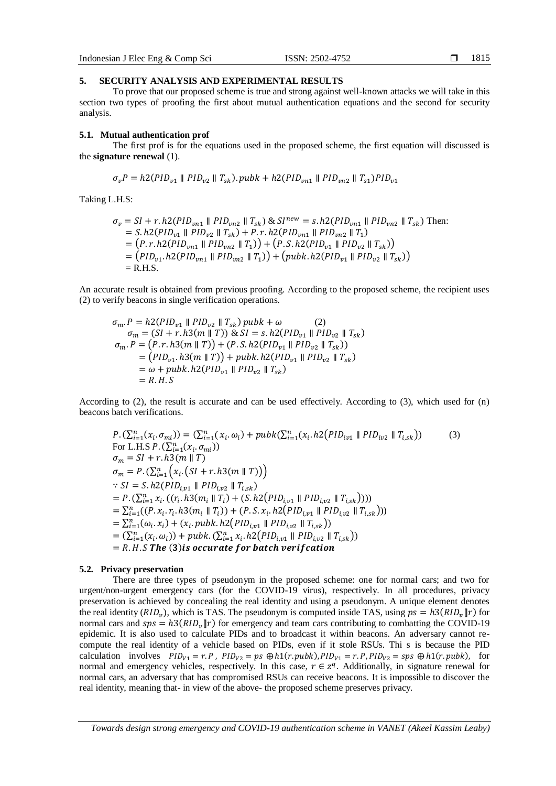Indonesian J Elec Eng & Comp Sci ISSN: 2502-4752

#### **5. SECURITY ANALYSIS AND EXPERIMENTAL RESULTS**

To prove that our proposed scheme is true and strong against well-known attacks we will take in this section two types of proofing the first about mutual authentication equations and the second for security analysis.

### **5.1. Mutual authentication prof**

The first prof is for the equations used in the proposed scheme, the first equation will discussed is the **signature renewal** (1).

$$
\sigma_v P = h2(PID_{v1} \parallel PID_{v2} \parallel T_{sk})
$$
.  $pubk + h2(PID_{vn1} \parallel PID_{vn2} \parallel T_{s1})PID_{v1}$ 

Taking L.H.S:

$$
\sigma_v = SI + r \cdot h2(PID_{vn1} \parallel PID_{vn2} \parallel T_{sk}) \& SI^{new} = s \cdot h2(PID_{vn1} \parallel PID_{vn2} \parallel T_{sk})
$$
 Then:  
= S. h2(PID<sub>v1</sub> \parallel PID<sub>v2</sub> \parallel T\_{sk}) + P. r. h2(PID<sub>vn1</sub> \parallel PID<sub>vn2</sub> \parallel T\_1)  
= (P. r. h2(PID<sub>vn1</sub> \parallel PID<sub>vn2</sub> \parallel T\_1)) + (P. S. h2(PID<sub>v1</sub> \parallel PID<sub>v2</sub> \parallel T\_{sk}))  
= (PID<sub>v1</sub> h2(PID<sub>vn1</sub> \parallel PID<sub>vn2</sub> \parallel T\_1)) + (pubk. h2(PID<sub>v1</sub> \parallel PID<sub>v2</sub> \parallel T\_{sk}))  
= R.H.S.

An accurate result is obtained from previous proofing. According to the proposed scheme, the recipient uses (2) to verify beacons in single verification operations.

$$
\sigma_m \cdot P = h2(PID_{v1} \parallel PID_{v2} \parallel T_{sk}) \text{ pubk} + \omega \qquad (2)
$$
\n
$$
\sigma_m = (SI + r \cdot h3(m \parallel T)) \& SI = s \cdot h2(PID_{v1} \parallel PID_{v2} \parallel T_{sk})
$$
\n
$$
\sigma_m \cdot P = (P \cdot r \cdot h3(m \parallel T)) + (P \cdot S \cdot h2(PID_{v1} \parallel PID_{v2} \parallel T_{sk}))
$$
\n
$$
= (PID_{v1} \cdot h3(m \parallel T)) + pubk \cdot h2(PID_{v1} \parallel PID_{v2} \parallel T_{sk})
$$
\n
$$
= \omega + pubk \cdot h2(PID_{v1} \parallel PID_{v2} \parallel T_{sk})
$$
\n
$$
= R \cdot H \cdot S
$$

According to (2), the result is accurate and can be used effectively. According to (3), which used for (n) beacons batch verifications.

$$
P. (\sum_{i=1}^{n} (x_i, \sigma_{mi})) = (\sum_{i=1}^{n} (x_i, \omega_i) + pubk(\sum_{i=1}^{n} (x_i, h2(PID_{iv1} || PID_{iv2} || T_{i,sk}))
$$
\n(3)  
\nFor L.H.S P.  $(\sum_{i=1}^{n} (x_i, \sigma_{mi}))$   
\n $\sigma_m = SI + r. h3(m || T)$   
\n $\sigma_m = P. (\sum_{i=1}^{n} (x_i, (SI + r. h3(m || T)))$   
\n $\because SI = S. h2(PID_{i,v1} || PID_{i,v2} || T_{i,sk})$   
\n $= P. (\sum_{i=1}^{n} x_i. ((r_i, h3(m_i || T_i) + (S. h2(PID_{i,v1} || PID_{i,v2} || T_{i,sk}))))$   
\n $= \sum_{i=1}^{n} ((P. x_i, r_i, h3(m_i || T_i)) + (P.S. x_i, h2(PID_{i,v1} || PID_{i,v2} || T_{i,sk})))$   
\n $= \sum_{i=1}^{n} (\omega_i. x_i) + (x_i. pubk. h2(PID_{i,v1} || PID_{i,v2} || T_{i,sk}))$   
\n $= (\sum_{i=1}^{n} (x_i, \omega_i)) + pubk. (\sum_{i=1}^{n} x_i, h2(PID_{i,v1} || PID_{i,v2} || T_{i,sk}))$   
\n $= R. H. S$ **The (3) is occurrence for batch verification**

#### **5.2. Privacy preservation**

There are three types of pseudonym in the proposed scheme: one for normal cars; and two for urgent/non-urgent emergency cars (for the COVID-19 virus), respectively. In all procedures, privacy preservation is achieved by concealing the real identity and using a pseudonym. A unique element denotes the real identity ( $RID_v$ ), which is TAS. The pseudonym is computed inside TAS, using  $ps = h3(RID_v||r)$  for normal cars and  $sps = h3(RID_v||r)$  for emergency and team cars contributing to combatting the COVID-19 epidemic. It is also used to calculate PIDs and to broadcast it within beacons. An adversary cannot recompute the real identity of a vehicle based on PIDs, even if it stole RSUs. Thi s is because the PID calculation involves  $PID_{v1} = r.P$ ,  $PID_{v2} = ps \oplus h1(r, pubk)$ ,  $PID_{v1} = r.P$ ,  $PID_{v2} = sys \oplus h1(r, pubk)$ , for normal and emergency vehicles, respectively. In this case,  $r \in \mathbb{Z}^q$ . Additionally, in signature renewal for normal cars, an adversary that has compromised RSUs can receive beacons. It is impossible to discover the real identity, meaning that- in view of the above- the proposed scheme preserves privacy.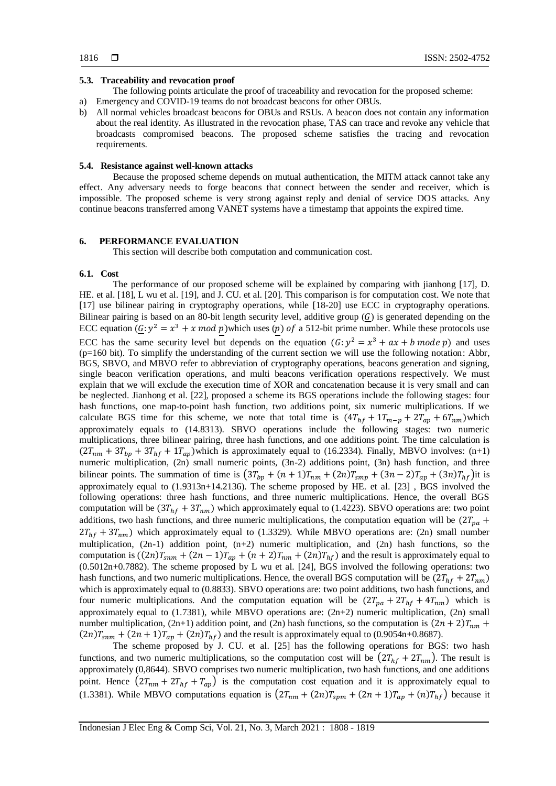#### **5.3. Traceability and revocation proof**

The following points articulate the proof of traceability and revocation for the proposed scheme:

- a) Emergency and COVID-19 teams do not broadcast beacons for other OBUs.
- b) All normal vehicles broadcast beacons for OBUs and RSUs. A beacon does not contain any information about the real identity. As illustrated in the revocation phase, TAS can trace and revoke any vehicle that broadcasts compromised beacons. The proposed scheme satisfies the tracing and revocation requirements.

### **5.4. Resistance against well-known attacks**

Because the proposed scheme depends on mutual authentication, the MITM attack cannot take any effect. Any adversary needs to forge beacons that connect between the sender and receiver, which is impossible. The proposed scheme is very strong against reply and denial of service DOS attacks. Any continue beacons transferred among VANET systems have a timestamp that appoints the expired time.

## **6. PERFORMANCE EVALUATION**

This section will describe both computation and communication cost.

#### **6.1. Cost**

The performance of our proposed scheme will be explained by comparing with jianhong [17], D. HE. et al. [18], L wu et al. [19], and J. CU. et al. [20]. This comparison is for computation cost. We note that [17] use bilinear pairing in cryptography operations, while [18-20] use ECC in cryptography operations. Bilinear pairing is based on an 80-bit length security level, additive group  $(G)$  is generated depending on the ECC equation  $(\mathcal{G}: y^2 = x^3 + x \mod p)$  which uses (p) of a 512-bit prime number. While these protocols use ECC has the same security level but depends on the equation  $(G: y^2 = x^3 + ax + b \mod p)$  and uses  $(p=160 \text{ bit})$ . To simplify the understanding of the current section we will use the following notation: Abbr, BGS, SBVO, and MBVO refer to abbreviation of cryptography operations, beacons generation and signing, single beacon verification operations, and multi beacons verification operations respectively. We must explain that we will exclude the execution time of XOR and concatenation because it is very small and can be neglected. Jianhong et al. [\[22\]](#page-11-3), proposed a scheme its BGS operations include the following stages: four hash functions, one map-to-point hash function, two additions point, six numeric multiplications. If we calculate BGS time for this scheme, we note that total time is  $(4T_{hf} + 1T_{m-p} + 2T_{ap} + 6T_{nm})$ which approximately equals to (14.8313). SBVO operations include the following stages: two numeric multiplications, three bilinear pairing, three hash functions, and one additions point. The time calculation is  $(2T_{nm} + 3T_{bp} + 3T_{hf} + 1T_{ap})$ which is approximately equal to (16.2334). Finally, MBVO involves: (n+1) numeric multiplication, (2n) small numeric points, (3n-2) additions point, (3n) hash function, and three bilinear points. The summation of time is  $(3T_{bp} + (n+1)T_{nm} + (2n)T_{smp} + (3n-2)T_{ap} + (3n)T_{hf})$ it is approximately equal to (1.9313n+14.2136). The scheme proposed by HE. et al. [\[23\]](#page-11-4) , BGS involved the following operations: three hash functions, and three numeric multiplications. Hence, the overall BGS computation will be  $(3T_{hf} + 3T_{nm})$  which approximately equal to (1.4223). SBVO operations are: two point additions, two hash functions, and three numeric multiplications, the computation equation will be  $(2T_{pa} +$  $2T_{hf} + 3T_{nm}$ ) which approximately equal to (1.3329). While MBVO operations are: (2n) small number multiplication, (2n-1) addition point, (n+2) numeric multiplication, and (2n) hash functions, so the computation is  $((2n)T_{snm} + (2n-1)T_{ap} + (n+2)T_{nm} + (2n)T_{hf})$  and the result is approximately equal to  $(0.5012n+0.7882)$ . The scheme proposed by L wu et al. [\[24\]](#page-11-5), BGS involved the following operations: two hash functions, and two numeric multiplications. Hence, the overall BGS computation will be  $(2T<sub>hf</sub> + 2T<sub>nm</sub>)$ which is approximately equal to (0.8833). SBVO operations are: two point additions, two hash functions, and four numeric multiplications. And the computation equation will be  $(2T_{pa} + 2T_{hf} + 4T_{nm})$  which is approximately equal to  $(1.7381)$ , while MBVO operations are:  $(2n+2)$  numeric multiplication,  $(2n)$  small number multiplication, (2n+1) addition point, and (2n) hash functions, so the computation is  $(2n + 2)T_{nm}$  +  $(2n)T_{snm} + (2n + 1)T_{ap} + (2n)T_{hf}$  and the result is approximately equal to (0.9054n+0.8687).

The scheme proposed by J. CU. et al. [\[25\]](#page-11-6) has the following operations for BGS: two hash functions, and two numeric multiplications, so the computation cost will be  $(2T<sub>hf</sub> + 2T<sub>nm</sub>)$ . The result is approximately (0,8644). SBVO comprises two numeric multiplication, two hash functions, and one additions point. Hence  $(2T_{nm} + 2T_{hf} + T_{ap})$  is the computation cost equation and it is approximately equal to (1.3381). While MBVO computations equation is  $(2T_{nm} + (2n)T_{sym} + (2n + 1)T_{ap} + (n)T_{hf})$  because it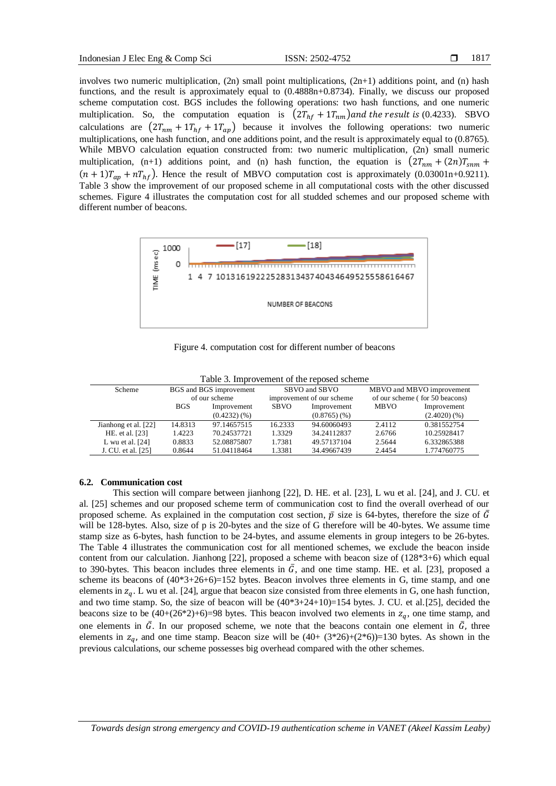involves two numeric multiplication,  $(2n)$  small point multiplications,  $(2n+1)$  additions point, and  $(n)$  hash functions, and the result is approximately equal to (0.4888n+0.8734). Finally, we discuss our proposed scheme computation cost. BGS includes the following operations: two hash functions, and one numeric multiplication. So, the computation equation is  $(2T_{hf} + 1T_{nm})$  and the result is (0.4233). SBVO calculations are  $(2T_{nm} + 1T_{hf} + T_{ap})$  because it involves the following operations: two numeric multiplications, one hash function, and one additions point, and the result is approximately equal to (0.8765). While MBVO calculation equation constructed from: two numeric multiplication, (2n) small numeric multiplication, (n+1) additions point, and (n) hash function, the equation is  $(2T_{nm} + (2n)T_{nnm} +$  $(n + 1)T_{ap} + nT_{hf}$ ). Hence the result of MBVO computation cost is approximately (0.03001n+0.9211). Table 3 show the improvement of our proposed scheme in all computational costs with the other discussed schemes. Figure 4 illustrates the computation cost for all studded schemes and our proposed scheme with different number of beacons.



Figure 4. computation cost for different number of beacons

| <b>Scheme</b>        |            | BGS and BGS improvement |         | SBVO and SBVO             | MBVO and MBVO improvement      |             |  |  |
|----------------------|------------|-------------------------|---------|---------------------------|--------------------------------|-------------|--|--|
|                      |            | of our scheme           |         | improvement of our scheme | of our scheme (for 50 beacons) |             |  |  |
|                      | <b>BGS</b> | Improvement             |         | Improvement               | <b>MBVO</b>                    | Improvement |  |  |
|                      |            | (0.4232)(%              |         | (0.8765)(%                |                                | (2.4020)(%  |  |  |
| Jianhong et al. [22] | 14.8313    | 97.14657515             | 16.2333 | 94.60060493               | 2.4112                         | 0.381552754 |  |  |
| HE. et al. [23]      | 1.4223     | 70.24537721             | 1.3329  | 34.24112837               | 2.6766                         | 10.25928417 |  |  |
| L wu et al. $[24]$   | 0.8833     | 52.08875807             | 1.7381  | 49.57137104               | 2.5644                         | 6.332865388 |  |  |
| J. CU. et al. [25]   | 0.8644     | 51.04118464             | 1.3381  | 34.49667439               | 2.4454                         | 1.774760775 |  |  |

Table 3. Improvement of the reposed scheme

## **6.2. Communication cost**

This section will compare between jianhong [\[22\]](#page-11-3), D. HE. et al. [\[23\]](#page-11-4), L wu et al. [\[24\]](#page-11-5), and J. CU. et al. [\[25\]](#page-11-6) schemes and our proposed scheme term of communication cost to find the overall overhead of our proposed scheme. As explained in the computation cost section,  $\bar{p}$  size is 64-bytes, therefore the size of  $\bar{G}$ will be 128-bytes. Also, size of p is 20-bytes and the size of G therefore will be 40-bytes. We assume time stamp size as 6-bytes, hash function to be 24-bytes, and assume elements in group integers to be 26-bytes. The Table 4 illustrates the communication cost for all mentioned schemes, we exclude the beacon inside content from our calculation. Jianhong [\[22\]](#page-11-3), proposed a scheme with beacon size of (128\*3+6) which equal to 390-bytes. This beacon includes three elements in  $\bar{G}$ , and one time stamp. HE. et al. [\[23\]](#page-11-4), proposed a scheme its beacons of  $(40*3+26+6)=152$  bytes. Beacon involves three elements in G, time stamp, and one elements in  $z_q$ . L wu et al. [\[24\]](#page-11-5), argue that beacon size consisted from three elements in G, one hash function, and two time stamp. So, the size of beacon will be  $(40*3+24+10)=154$  bytes. J. CU. et al.[\[25\]](#page-11-6), decided the beacons size to be  $(40+(26*2)+6)=98$  bytes. This beacon involved two elements in  $z_q$ , one time stamp, and one elements in  $\bar{G}$ . In our proposed scheme, we note that the beacons contain one element in  $\bar{G}$ , three elements in  $z_q$ , and one time stamp. Beacon size will be  $(40+(3*26)+(2*6))=130$  bytes. As shown in the previous calculations, our scheme possesses big overhead compared with the other schemes.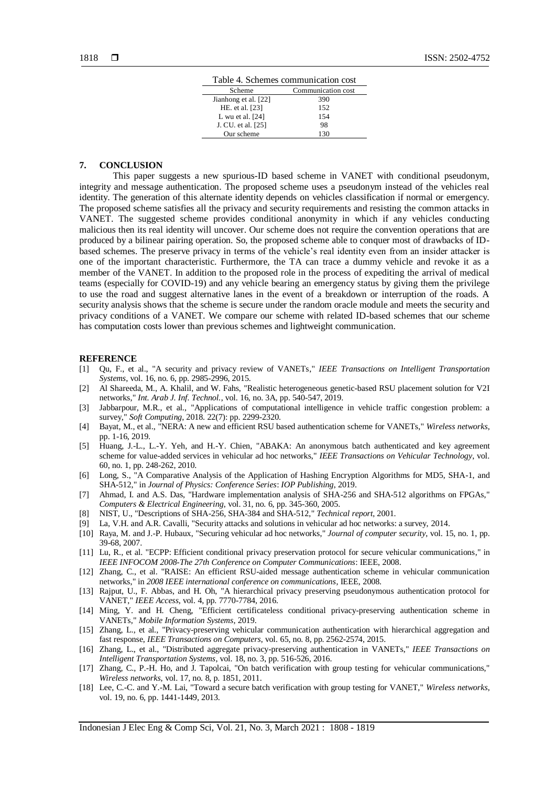| Table 4. Schemes communication cost |                    |  |  |  |  |
|-------------------------------------|--------------------|--|--|--|--|
| Scheme                              | Communication cost |  |  |  |  |
| Jianhong et al. [22]                | 390                |  |  |  |  |
| HE. et al. [23]                     | 152                |  |  |  |  |
| L wu et al. $[24]$                  | 154                |  |  |  |  |
| J. CU. et al. [25]                  | 98                 |  |  |  |  |
| Our scheme                          | 130                |  |  |  |  |

#### **7. CONCLUSION**

This paper suggests a new spurious-ID based scheme in VANET with conditional pseudonym, integrity and message authentication. The proposed scheme uses a pseudonym instead of the vehicles real identity. The generation of this alternate identity depends on vehicles classification if normal or emergency. The proposed scheme satisfies all the privacy and security requirements and resisting the common attacks in VANET. The suggested scheme provides conditional anonymity in which if any vehicles conducting malicious then its real identity will uncover. Our scheme does not require the convention operations that are produced by a bilinear pairing operation. So, the proposed scheme able to conquer most of drawbacks of IDbased schemes. The preserve privacy in terms of the vehicle's real identity even from an insider attacker is one of the important characteristic. Furthermore, the TA can trace a dummy vehicle and revoke it as a member of the VANET. In addition to the proposed role in the process of expediting the arrival of medical teams (especially for COVID-19) and any vehicle bearing an emergency status by giving them the privilege to use the road and suggest alternative lanes in the event of a breakdown or interruption of the roads. A security analysis shows that the scheme is secure under the random oracle module and meets the security and privacy conditions of a VANET. We compare our scheme with related ID-based schemes that our scheme has computation costs lower than previous schemes and lightweight communication.

#### **REFERENCE**

- <span id="page-10-0"></span>[1] Qu, F., et al., "A security and privacy review of VANETs," *IEEE Transactions on Intelligent Transportation Systems*, vol. 16, no. 6, pp. 2985-2996, 2015.
- <span id="page-10-1"></span>[2] Al Shareeda, M., A. Khalil, and W. Fahs, "Realistic heterogeneous genetic-based RSU placement solution for V2I networks*,*" *Int. Arab J. Inf. Technol.*, vol. 16, no. 3A, pp. 540-547, 2019.
- <span id="page-10-2"></span>[3] Jabbarpour, M.R., et al., "Applications of computational intelligence in vehicle traffic congestion problem: a survey," *Soft Computing*, 2018. 22(7): pp. 2299-2320.
- <span id="page-10-3"></span>[4] Bayat, M., et al., "NERA: A new and efficient RSU based authentication scheme for VANETs," *Wireless networks*, pp. 1-16, 2019.
- <span id="page-10-4"></span>[5] Huang, J.-L., L.-Y. Yeh, and H.-Y. Chien, "ABAKA: An anonymous batch authenticated and key agreement scheme for value-added services in vehicular ad hoc networks," *IEEE Transactions on Vehicular Technology*, vol. 60, no. 1, pp. 248-262, 2010.
- [6] Long, S., "A Comparative Analysis of the Application of Hashing Encryption Algorithms for MD5, SHA-1, and SHA-512," in *Journal of Physics: Conference Series*: *IOP Publishing*, 2019.
- [7] Ahmad, I. and A.S. Das, "Hardware implementation analysis of SHA-256 and SHA-512 algorithms on FPGAs," *Computers & Electrical Engineering*, vol. 31, no. 6, pp. 345-360, 2005.
- [8] NIST, U., "Descriptions of SHA-256, SHA-384 and SHA-512," *Technical report*, 2001.
- <span id="page-10-5"></span>[9] La, V.H. and A.R. Cavalli, "Security attacks and solutions in vehicular ad hoc networks: a survey, 2014.
- <span id="page-10-6"></span>[10] Raya, M. and J.-P. Hubaux, "Securing vehicular ad hoc networks," *Journal of computer security*, vol. 15, no. 1, pp. 39-68, 2007.
- <span id="page-10-7"></span>[11] Lu, R., et al. "ECPP: Efficient conditional privacy preservation protocol for secure vehicular communications," in *IEEE INFOCOM 2008-The 27th Conference on Computer Communications*: IEEE, 2008.
- <span id="page-10-8"></span>[12] Zhang, C., et al. "RAISE: An efficient RSU-aided message authentication scheme in vehicular communication networks," in *2008 IEEE international conference on communications*, IEEE, 2008.
- <span id="page-10-9"></span>[13] Rajput, U., F. Abbas, and H. Oh, "A hierarchical privacy preserving pseudonymous authentication protocol for VANET," *IEEE Access*, vol. 4, pp. 7770-7784, 2016.
- <span id="page-10-10"></span>[14] Ming, Y. and H. Cheng, "Efficient certificateless conditional privacy-preserving authentication scheme in VANETs," *Mobile Information Systems*, 2019.
- <span id="page-10-11"></span>[15] Zhang, L., et al., "Privacy-preserving vehicular communication authentication with hierarchical aggregation and fast response, *IEEE Transactions on Computers*, vol. 65, no. 8, pp. 2562-2574, 2015.
- <span id="page-10-12"></span>[16] Zhang, L., et al., "Distributed aggregate privacy-preserving authentication in VANETs," *IEEE Transactions on Intelligent Transportation Systems*, vol. 18, no. 3, pp. 516-526, 2016.
- <span id="page-10-13"></span>[17] Zhang, C., P.-H. Ho, and J. Tapolcai, "On batch verification with group testing for vehicular communications," *Wireless networks*, vol. 17, no. 8, p. 1851, 2011.
- <span id="page-10-14"></span>[18] Lee, C.-C. and Y.-M. Lai, "Toward a secure batch verification with group testing for VANET," *Wireless networks*, vol. 19, no. 6, pp. 1441-1449, 2013.